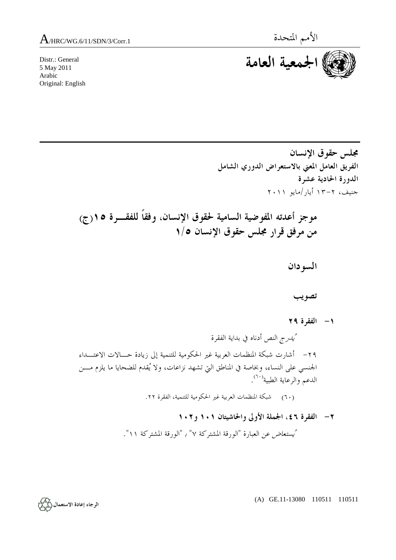Distr.: General 5 May 2011 Arabic Original: English



**مجلس حقوق الإنسان الفريق العامل المعني بالاستعراض الدوري الشامل الدورة الحادية عشرة**  جنيف، -٢ ١٣ أيار/مايو ٢٠١١

 **موجز أعدته المفوضية السامية لحقوق الإنسان، وفقاً للفقـرة ١٥(ج) من مرفق قرار مجلس حقوق الإنسان ١/٥** 

 **السودان** 

 **تصويب** 

 **-١ الفقرة ٢٩** 

 يُدرج النص أدناه في بداية الفقرة -٢٩ أشارت شبكة المنظمات العربية غير الحكومية للتنمية إلى زيادة حـالات الاعتـداء الجنسي على النساء، وبخاصة في المناطق التي تشهد نزاعات، ولا يُقدم للضحايا ما يلزم مـن الدعم والرعاية الطبية<sup>(٦٠)</sup>.

(٦٠) شبكة المنظمات العربية غير الحكومية للتنمية، الفقرة .<sup>٢٢</sup>

 **-٢ الفقرة ،٤٦ الجملة الأولى والحاشيتان ١٠١ و١٠٢**  يُستعاض عن العبارة "الورقة المشتركة ٧" ب "الورقة المشتركة ١١".

(A) GE.11-13080 110511 110511

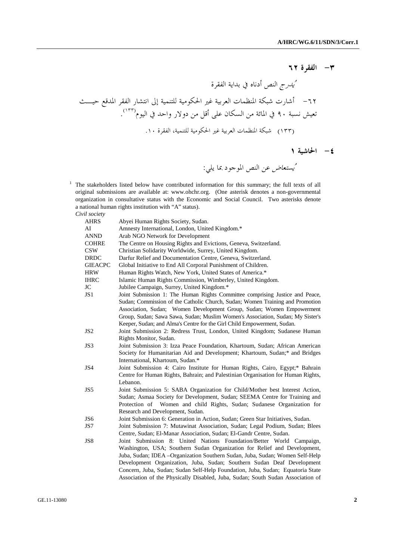## **-٣ الفقرة ٦٢**

 يُدرج النص أدناه في بداية الفقرة -٦٢ أشارت شبكة المنظمات العربية غير الحكومية للتنمية إلى انتشار الفقر المدقع حيـث . (١٣٣) تعيش نسبة ٩٠ في المائة من السكان على أقل من دولار واحد في اليوم (١٣٣) شبكة المنظمات العربية غير الحكومية للتنمية، الفقرة .١٠

 **-٤ الحاشية ١** 

يُستعاض عن النص الموجود بما يلي:

<sup>1</sup> The stakeholders listed below have contributed information for this summary; the full texts of all original submissions are available at: www.ohchr.org. (One asterisk denotes a non-governmental organization in consultative status with the Economic and Social Council. Two asterisks denote a national human rights institution with "A" status).

*Civil society* 

| AHRS           | Abyei Human Rights Society, Sudan.                                               |
|----------------|----------------------------------------------------------------------------------|
| AI             | Amnesty International, London, United Kingdom.*                                  |
| ANND           | Arab NGO Network for Development                                                 |
| COHRE          | The Centre on Housing Rights and Evictions, Geneva, Switzerland.                 |
| CSW            | Christian Solidarity Worldwide, Surrey, United Kingdom.                          |
| DRDC           | Darfur Relief and Documentation Centre, Geneva, Switzerland.                     |
| <b>GIEACPC</b> | Global Initiative to End All Corporal Punishment of Children.                    |
| HRW            | Human Rights Watch, New York, United States of America.*                         |
| IHRC           | Islamic Human Rights Commission, Wimberley, United Kingdom.                      |
| JC             | Jubilee Campaign, Surrey, United Kingdom.*                                       |
| JS1            | Joint Submission 1: The Human Rights Committee comprising Justice and Peace,     |
|                | Sudan; Commission of the Catholic Church, Sudan; Women Training and Promotion    |
|                | Association, Sudan; Women Development Group, Sudan; Women Empowerment            |
|                | Group, Sudan; Sawa Sawa, Sudan; Muslim Women's Association, Sudan; My Sister's   |
|                | Keeper, Sudan; and Alma's Centre for the Girl Child Empowerment, Sudan.          |
| JS2            | Joint Submission 2: Redress Trust, London, United Kingdom; Sudanese Human        |
|                | Rights Monitor, Sudan.                                                           |
| JS3            | Joint Submission 3: Izza Peace Foundation, Khartoum, Sudan; African American     |
|                | Society for Humanitarian Aid and Development; Khartoum, Sudan;* and Bridges      |
|                | International, Khartoum, Sudan.*                                                 |
| JS4            | Joint Submission 4: Cairo Institute for Human Rights, Cairo, Egypt;* Bahrain     |
|                | Centre for Human Rights, Bahrain; and Palestinian Organisation for Human Rights, |
|                | Lebanon.                                                                         |
| JS5            | Joint Submission 5: SABA Organization for Child/Mother best Interest Action,     |
|                | Sudan; Asmaa Society for Development, Sudan; SEEMA Centre for Training and       |
|                | Protection of Women and child Rights, Sudan; Sudanese Organization for           |
|                | Research and Development, Sudan.                                                 |
| JS6            | Joint Submission 6: Generation in Action, Sudan; Green Star Initiatives, Sudan.  |
| JS7            | Joint Submission 7: Mutawinat Association, Sudan; Legal Podium, Sudan; Blees     |
|                | Centre, Sudan; El-Manar Association, Sudan; El-Gandr Centre, Sudan.              |
| JS8            | Joint Submission 8: United Nations Foundation/Better World Campaign,             |
|                | Washington, USA; Southern Sudan Organization for Relief and Development,         |
|                | Juba, Sudan; IDEA – Organization Southern Sudan, Juba, Sudan; Women Self-Help    |
|                | Development Organization, Juba, Sudan; Southern Sudan Deaf Development           |
|                | Concern, Juba, Sudan; Sudan Self-Help Foundation, Juba, Sudan; Equatoria State   |
|                | Association of the Physically Disabled, Juba, Sudan; South Sudan Association of  |